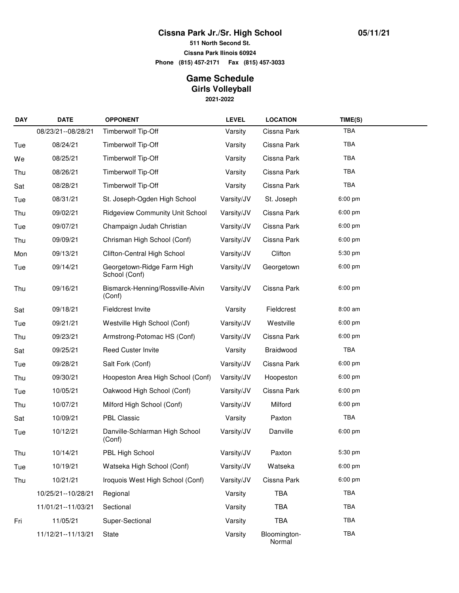## **Cissna Park Jr./Sr. High School**

**511 North Second St.**

**Cissna Park Ilinois 60924**

**Phone (815) 457-2171 Fax (815) 457-3033**

## **2021-2022 Game Schedule Girls Volleyball**

| <b>DAY</b> | <b>DATE</b>          | <b>OPPONENT</b>                             | <b>LEVEL</b> | <b>LOCATION</b>        | TIME(S)    |  |
|------------|----------------------|---------------------------------------------|--------------|------------------------|------------|--|
|            | 08/23/21--08/28/21   | Timberwolf Tip-Off                          | Varsity      | Cissna Park            | TBA        |  |
| Tue        | 08/24/21             | Timberwolf Tip-Off                          | Varsity      | Cissna Park            | TBA        |  |
| We         | 08/25/21             | Timberwolf Tip-Off                          | Varsity      | Cissna Park            | <b>TBA</b> |  |
| Thu        | 08/26/21             | Timberwolf Tip-Off                          | Varsity      | Cissna Park            | TBA        |  |
| Sat        | 08/28/21             | Timberwolf Tip-Off                          | Varsity      | Cissna Park            | <b>TBA</b> |  |
| Tue        | 08/31/21             | St. Joseph-Ogden High School                | Varsity/JV   | St. Joseph             | $6:00$ pm  |  |
| Thu        | 09/02/21             | <b>Ridgeview Community Unit School</b>      | Varsity/JV   | Cissna Park            | $6:00$ pm  |  |
| Tue        | 09/07/21             | Champaign Judah Christian                   | Varsity/JV   | Cissna Park            | $6:00$ pm  |  |
| Thu        | 09/09/21             | Chrisman High School (Conf)                 | Varsity/JV   | Cissna Park            | $6:00$ pm  |  |
| Mon        | 09/13/21             | Clifton-Central High School                 | Varsity/JV   | Clifton                | 5:30 pm    |  |
| Tue        | 09/14/21             | Georgetown-Ridge Farm High<br>School (Conf) | Varsity/JV   | Georgetown             | $6:00$ pm  |  |
| Thu        | 09/16/21             | Bismarck-Henning/Rossville-Alvin<br>(Conf)  | Varsity/JV   | Cissna Park            | 6:00 pm    |  |
| Sat        | 09/18/21             | Fieldcrest Invite                           | Varsity      | Fieldcrest             | 8:00 am    |  |
| Tue        | 09/21/21             | Westville High School (Conf)                | Varsity/JV   | Westville              | 6:00 pm    |  |
| Thu        | 09/23/21             | Armstrong-Potomac HS (Conf)                 | Varsity/JV   | Cissna Park            | 6:00 pm    |  |
| Sat        | 09/25/21             | Reed Custer Invite                          | Varsity      | Braidwood              | <b>TBA</b> |  |
| Tue        | 09/28/21             | Salt Fork (Conf)                            | Varsity/JV   | Cissna Park            | $6:00$ pm  |  |
| Thu        | 09/30/21             | Hoopeston Area High School (Conf)           | Varsity/JV   | Hoopeston              | 6:00 pm    |  |
| Tue        | 10/05/21             | Oakwood High School (Conf)                  | Varsity/JV   | Cissna Park            | $6:00$ pm  |  |
| Thu        | 10/07/21             | Milford High School (Conf)                  | Varsity/JV   | Milford                | $6:00$ pm  |  |
| Sat        | 10/09/21             | PBL Classic                                 | Varsity      | Paxton                 | <b>TBA</b> |  |
| Tue        | 10/12/21             | Danville-Schlarman High School<br>(Conf)    | Varsity/JV   | Danville               | 6:00 pm    |  |
| Thu        | 10/14/21             | PBL High School                             | Varsity/JV   | Paxton                 | 5:30 pm    |  |
| Tue        | 10/19/21             | Watseka High School (Conf)                  | Varsity/JV   | Watseka                | 6:00 pm    |  |
| Thu        | 10/21/21             | Iroquois West High School (Conf)            | Varsity/JV   | Cissna Park            | 6:00 pm    |  |
|            | 10/25/21 -- 10/28/21 | Regional                                    | Varsity      | <b>TBA</b>             | <b>TBA</b> |  |
|            | 11/01/21--11/03/21   | Sectional                                   | Varsity      | TBA                    | <b>TBA</b> |  |
| Fri        | 11/05/21             | Super-Sectional                             | Varsity      | TBA                    | <b>TBA</b> |  |
|            | 11/12/21--11/13/21   | State                                       | Varsity      | Bloomington-<br>Normal | TBA        |  |